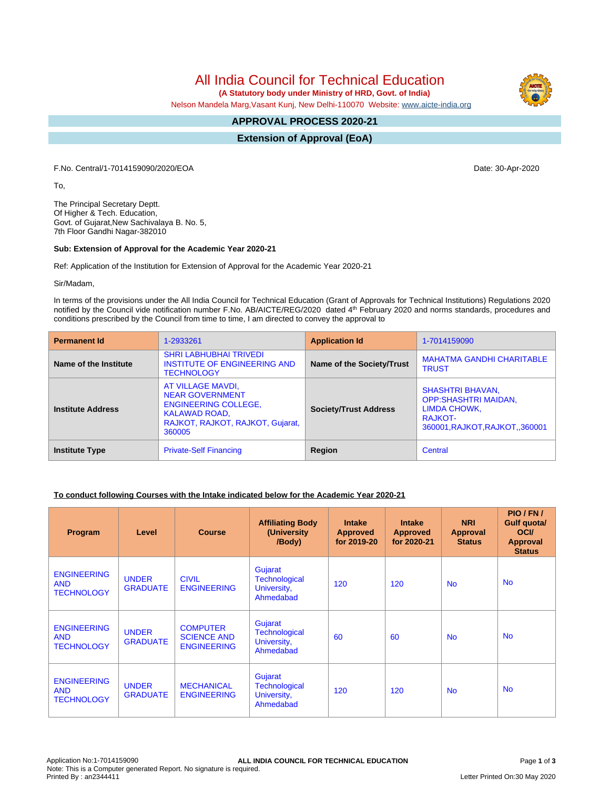All India Council for Technical Education

 **(A Statutory body under Ministry of HRD, Govt. of India)**

Nelson Mandela Marg,Vasant Kunj, New Delhi-110070 Website: [www.aicte-india.org](http://www.aicte-india.org)

#### **APPROVAL PROCESS 2020-21 -**

**Extension of Approval (EoA)**

F.No. Central/1-7014159090/2020/EOA Date: 30-Apr-2020

To,

The Principal Secretary Deptt. Of Higher & Tech. Education, Govt. of Gujarat,New Sachivalaya B. No. 5, 7th Floor Gandhi Nagar-382010

### **Sub: Extension of Approval for the Academic Year 2020-21**

Ref: Application of the Institution for Extension of Approval for the Academic Year 2020-21

Sir/Madam,

In terms of the provisions under the All India Council for Technical Education (Grant of Approvals for Technical Institutions) Regulations 2020 notified by the Council vide notification number F.No. AB/AICTE/REG/2020 dated 4<sup>th</sup> February 2020 and norms standards, procedures and conditions prescribed by the Council from time to time, I am directed to convey the approval to

| <b>Permanent Id</b>      | 1-2933261                                                                                                                                        | <b>Application Id</b>        | 1-7014159090                                                                                                               |  |
|--------------------------|--------------------------------------------------------------------------------------------------------------------------------------------------|------------------------------|----------------------------------------------------------------------------------------------------------------------------|--|
| Name of the Institute    | <b>SHRI LABHUBHAI TRIVEDI</b><br><b>INSTITUTE OF ENGINEERING AND</b><br><b>TECHNOLOGY</b>                                                        | Name of the Society/Trust    | <b>MAHATMA GANDHI CHARITABLE</b><br><b>TRUST</b>                                                                           |  |
| <b>Institute Address</b> | AT VILLAGE MAVDI,<br><b>NEAR GOVERNMENT</b><br><b>ENGINEERING COLLEGE,</b><br><b>KALAWAD ROAD,</b><br>RAJKOT, RAJKOT, RAJKOT, Gujarat,<br>360005 | <b>Society/Trust Address</b> | <b>SHASHTRI BHAVAN,</b><br><b>OPP:SHASHTRI MAIDAN,</b><br><b>LIMDA CHOWK,</b><br>RAJKOT-<br>360001, RAJKOT, RAJKOT, 360001 |  |
| <b>Institute Type</b>    | <b>Private-Self Financing</b>                                                                                                                    | Region                       | Central                                                                                                                    |  |

# **To conduct following Courses with the Intake indicated below for the Academic Year 2020-21**

| Program                                               | Level                           | <b>Course</b>                                               | <b>Affiliating Body</b><br>(University<br>/Body)            | <b>Intake</b><br><b>Approved</b><br>for 2019-20 | <b>Intake</b><br><b>Approved</b><br>for 2020-21 | <b>NRI</b><br>Approval<br><b>Status</b> | PIO / FN /<br>Gulf quota/<br><b>OCI</b><br><b>Approval</b><br><b>Status</b> |
|-------------------------------------------------------|---------------------------------|-------------------------------------------------------------|-------------------------------------------------------------|-------------------------------------------------|-------------------------------------------------|-----------------------------------------|-----------------------------------------------------------------------------|
| <b>ENGINEERING</b><br><b>AND</b><br><b>TECHNOLOGY</b> | <b>UNDER</b><br><b>GRADUATE</b> | <b>CIVIL</b><br><b>ENGINEERING</b>                          | Gujarat<br><b>Technological</b><br>University,<br>Ahmedabad | 120                                             | 120                                             | <b>No</b>                               | <b>No</b>                                                                   |
| <b>ENGINEERING</b><br><b>AND</b><br><b>TECHNOLOGY</b> | <b>UNDER</b><br><b>GRADUATE</b> | <b>COMPUTER</b><br><b>SCIENCE AND</b><br><b>ENGINEERING</b> | Gujarat<br><b>Technological</b><br>University,<br>Ahmedabad | 60                                              | 60                                              | <b>No</b>                               | <b>No</b>                                                                   |
| <b>ENGINEERING</b><br><b>AND</b><br><b>TECHNOLOGY</b> | <b>UNDER</b><br><b>GRADUATE</b> | <b>MECHANICAL</b><br><b>ENGINEERING</b>                     | Gujarat<br><b>Technological</b><br>University,<br>Ahmedabad | 120                                             | 120                                             | <b>No</b>                               | <b>No</b>                                                                   |

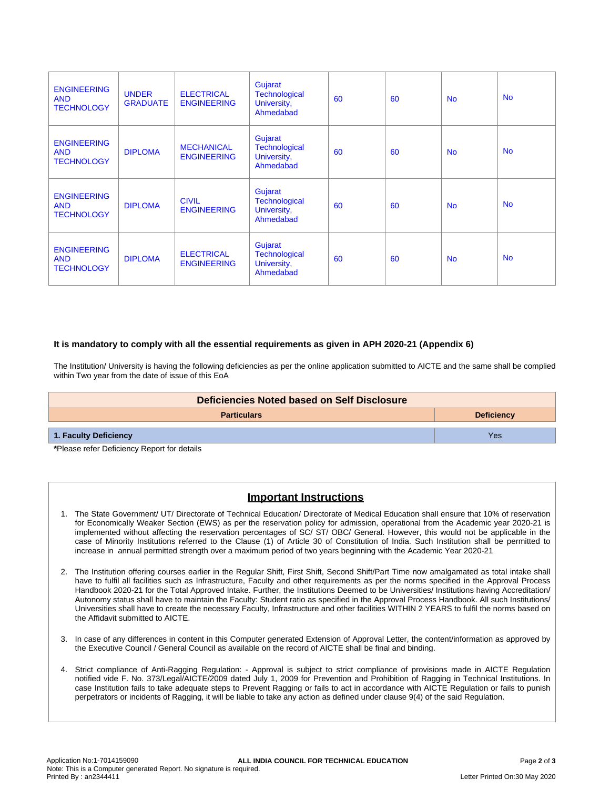| <b>ENGINEERING</b><br><b>AND</b><br><b>TECHNOLOGY</b> | <b>UNDER</b><br><b>GRADUATE</b> | <b>ELECTRICAL</b><br><b>ENGINEERING</b> | Gujarat<br><b>Technological</b><br>University,<br>Ahmedabad | 60 | 60 | No.       | <b>No</b> |
|-------------------------------------------------------|---------------------------------|-----------------------------------------|-------------------------------------------------------------|----|----|-----------|-----------|
| <b>ENGINEERING</b><br><b>AND</b><br><b>TECHNOLOGY</b> | <b>DIPLOMA</b>                  | <b>MECHANICAL</b><br><b>ENGINEERING</b> | Gujarat<br><b>Technological</b><br>University,<br>Ahmedabad | 60 | 60 | <b>No</b> | <b>No</b> |
| <b>ENGINEERING</b><br><b>AND</b><br><b>TECHNOLOGY</b> | <b>DIPLOMA</b>                  | <b>CIVIL</b><br><b>ENGINEERING</b>      | Gujarat<br><b>Technological</b><br>University,<br>Ahmedabad | 60 | 60 | <b>No</b> | <b>No</b> |
| <b>ENGINEERING</b><br><b>AND</b><br><b>TECHNOLOGY</b> | <b>DIPLOMA</b>                  | <b>ELECTRICAL</b><br><b>ENGINEERING</b> | Gujarat<br><b>Technological</b><br>University,<br>Ahmedabad | 60 | 60 | <b>No</b> | <b>No</b> |

### **It is mandatory to comply with all the essential requirements as given in APH 2020-21 (Appendix 6)**

The Institution/ University is having the following deficiencies as per the online application submitted to AICTE and the same shall be complied within Two year from the date of issue of this EoA

| Deficiencies Noted based on Self Disclosure |                   |  |  |
|---------------------------------------------|-------------------|--|--|
| <b>Particulars</b>                          | <b>Deficiency</b> |  |  |
| 1. Faculty Deficiency                       | Yes               |  |  |

**\***Please refer Deficiency Report for details

# **Important Instructions**

- 1. The State Government/ UT/ Directorate of Technical Education/ Directorate of Medical Education shall ensure that 10% of reservation for Economically Weaker Section (EWS) as per the reservation policy for admission, operational from the Academic year 2020-21 is implemented without affecting the reservation percentages of SC/ ST/ OBC/ General. However, this would not be applicable in the case of Minority Institutions referred to the Clause (1) of Article 30 of Constitution of India. Such Institution shall be permitted to increase in annual permitted strength over a maximum period of two years beginning with the Academic Year 2020-21
- 2. The Institution offering courses earlier in the Regular Shift, First Shift, Second Shift/Part Time now amalgamated as total intake shall have to fulfil all facilities such as Infrastructure, Faculty and other requirements as per the norms specified in the Approval Process Handbook 2020-21 for the Total Approved Intake. Further, the Institutions Deemed to be Universities/ Institutions having Accreditation/ Autonomy status shall have to maintain the Faculty: Student ratio as specified in the Approval Process Handbook. All such Institutions/ Universities shall have to create the necessary Faculty, Infrastructure and other facilities WITHIN 2 YEARS to fulfil the norms based on the Affidavit submitted to AICTE.
- 3. In case of any differences in content in this Computer generated Extension of Approval Letter, the content/information as approved by the Executive Council / General Council as available on the record of AICTE shall be final and binding.
- 4. Strict compliance of Anti-Ragging Regulation: Approval is subject to strict compliance of provisions made in AICTE Regulation notified vide F. No. 373/Legal/AICTE/2009 dated July 1, 2009 for Prevention and Prohibition of Ragging in Technical Institutions. In case Institution fails to take adequate steps to Prevent Ragging or fails to act in accordance with AICTE Regulation or fails to punish perpetrators or incidents of Ragging, it will be liable to take any action as defined under clause 9(4) of the said Regulation.